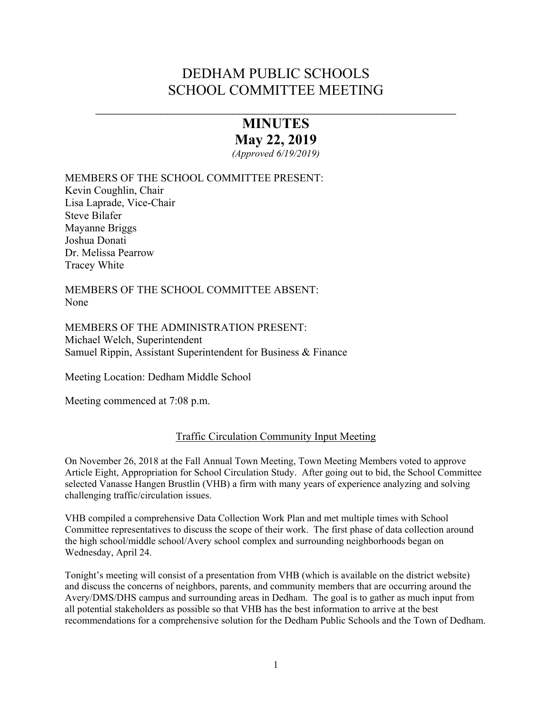## DEDHAM PUBLIC SCHOOLS SCHOOL COMMITTEE MEETING

## **MINUTES**

 $\overline{\phantom{a}}$  , and the contract of the contract of the contract of the contract of the contract of the contract of the contract of the contract of the contract of the contract of the contract of the contract of the contrac

**May 22, 2019** 

*(Approved 6/19/2019)* 

MEMBERS OF THE SCHOOL COMMITTEE PRESENT: Kevin Coughlin, Chair Lisa Laprade, Vice-Chair Steve Bilafer Mayanne Briggs Joshua Donati Dr. Melissa Pearrow Tracey White

MEMBERS OF THE SCHOOL COMMITTEE ABSENT: None

MEMBERS OF THE ADMINISTRATION PRESENT: Michael Welch, Superintendent Samuel Rippin, Assistant Superintendent for Business & Finance

Meeting Location: Dedham Middle School

Meeting commenced at 7:08 p.m.

## Traffic Circulation Community Input Meeting

On November 26, 2018 at the Fall Annual Town Meeting, Town Meeting Members voted to approve Article Eight, Appropriation for School Circulation Study. After going out to bid, the School Committee selected [Vanasse Hangen Brustlin \(VHB\)](https://www.vhb.com/Pages/home.aspx) a firm with many years of experience analyzing and solving challenging traffic/circulation issues.

VHB compiled a comprehensive Data Collection Work Plan and met multiple times with School Committee representatives to discuss the scope of their work. The first phase of data collection around the high school/middle school/Avery school complex and surrounding neighborhoods began on Wednesday, April 24.

Tonight's meeting will consist of a presentation from VHB (which is available on the district website) and discuss the concerns of neighbors, parents, and community members that are occurring around the Avery/DMS/DHS campus and surrounding areas in Dedham. The goal is to gather as much input from all potential stakeholders as possible so that VHB has the best information to arrive at the best recommendations for a comprehensive solution for the Dedham Public Schools and the Town of Dedham.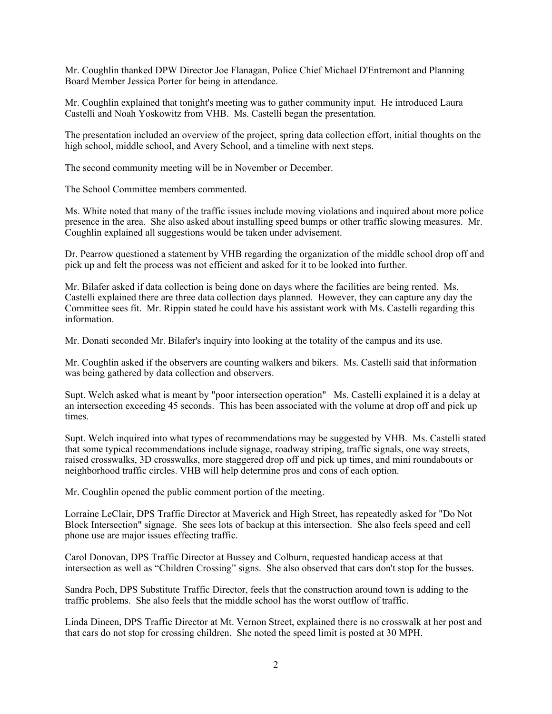Mr. Coughlin thanked DPW Director Joe Flanagan, Police Chief Michael D'Entremont and Planning Board Member Jessica Porter for being in attendance.

Mr. Coughlin explained that tonight's meeting was to gather community input. He introduced Laura Castelli and Noah Yoskowitz from VHB. Ms. Castelli began the presentation.

The presentation included an overview of the project, spring data collection effort, initial thoughts on the high school, middle school, and Avery School, and a timeline with next steps.

The second community meeting will be in November or December.

The School Committee members commented.

Ms. White noted that many of the traffic issues include moving violations and inquired about more police presence in the area. She also asked about installing speed bumps or other traffic slowing measures. Mr. Coughlin explained all suggestions would be taken under advisement.

Dr. Pearrow questioned a statement by VHB regarding the organization of the middle school drop off and pick up and felt the process was not efficient and asked for it to be looked into further.

Mr. Bilafer asked if data collection is being done on days where the facilities are being rented. Ms. Castelli explained there are three data collection days planned. However, they can capture any day the Committee sees fit. Mr. Rippin stated he could have his assistant work with Ms. Castelli regarding this information.

Mr. Donati seconded Mr. Bilafer's inquiry into looking at the totality of the campus and its use.

Mr. Coughlin asked if the observers are counting walkers and bikers. Ms. Castelli said that information was being gathered by data collection and observers.

Supt. Welch asked what is meant by "poor intersection operation" Ms. Castelli explained it is a delay at an intersection exceeding 45 seconds. This has been associated with the volume at drop off and pick up times.

Supt. Welch inquired into what types of recommendations may be suggested by VHB. Ms. Castelli stated that some typical recommendations include signage, roadway striping, traffic signals, one way streets, raised crosswalks, 3D crosswalks, more staggered drop off and pick up times, and mini roundabouts or neighborhood traffic circles. VHB will help determine pros and cons of each option.

Mr. Coughlin opened the public comment portion of the meeting.

Lorraine LeClair, DPS Traffic Director at Maverick and High Street, has repeatedly asked for "Do Not Block Intersection" signage. She sees lots of backup at this intersection. She also feels speed and cell phone use are major issues effecting traffic.

Carol Donovan, DPS Traffic Director at Bussey and Colburn, requested handicap access at that intersection as well as "Children Crossing" signs. She also observed that cars don't stop for the busses.

Sandra Poch, DPS Substitute Traffic Director, feels that the construction around town is adding to the traffic problems. She also feels that the middle school has the worst outflow of traffic.

Linda Dineen, DPS Traffic Director at Mt. Vernon Street, explained there is no crosswalk at her post and that cars do not stop for crossing children. She noted the speed limit is posted at 30 MPH.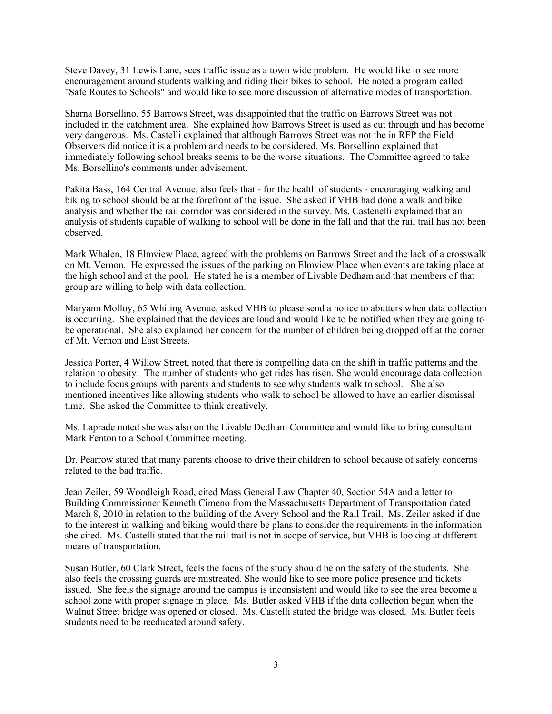Steve Davey, 31 Lewis Lane, sees traffic issue as a town wide problem. He would like to see more encouragement around students walking and riding their bikes to school. He noted a program called "Safe Routes to Schools" and would like to see more discussion of alternative modes of transportation.

Sharna Borsellino, 55 Barrows Street, was disappointed that the traffic on Barrows Street was not included in the catchment area. She explained how Barrows Street is used as cut through and has become very dangerous. Ms. Castelli explained that although Barrows Street was not the in RFP the Field Observers did notice it is a problem and needs to be considered. Ms. Borsellino explained that immediately following school breaks seems to be the worse situations. The Committee agreed to take Ms. Borsellino's comments under advisement.

Pakita Bass, 164 Central Avenue, also feels that - for the health of students - encouraging walking and biking to school should be at the forefront of the issue. She asked if VHB had done a walk and bike analysis and whether the rail corridor was considered in the survey. Ms. Castenelli explained that an analysis of students capable of walking to school will be done in the fall and that the rail trail has not been observed.

Mark Whalen, 18 Elmview Place, agreed with the problems on Barrows Street and the lack of a crosswalk on Mt. Vernon. He expressed the issues of the parking on Elmview Place when events are taking place at the high school and at the pool. He stated he is a member of Livable Dedham and that members of that group are willing to help with data collection.

Maryann Molloy, 65 Whiting Avenue, asked VHB to please send a notice to abutters when data collection is occurring. She explained that the devices are loud and would like to be notified when they are going to be operational. She also explained her concern for the number of children being dropped off at the corner of Mt. Vernon and East Streets.

Jessica Porter, 4 Willow Street, noted that there is compelling data on the shift in traffic patterns and the relation to obesity. The number of students who get rides has risen. She would encourage data collection to include focus groups with parents and students to see why students walk to school. She also mentioned incentives like allowing students who walk to school be allowed to have an earlier dismissal time. She asked the Committee to think creatively.

Ms. Laprade noted she was also on the Livable Dedham Committee and would like to bring consultant Mark Fenton to a School Committee meeting.

Dr. Pearrow stated that many parents choose to drive their children to school because of safety concerns related to the bad traffic.

Jean Zeiler, 59 Woodleigh Road, cited Mass General Law Chapter 40, Section 54A and a letter to Building Commissioner Kenneth Cimeno from the Massachusetts Department of Transportation dated March 8, 2010 in relation to the building of the Avery School and the Rail Trail. Ms. Zeiler asked if due to the interest in walking and biking would there be plans to consider the requirements in the information she cited. Ms. Castelli stated that the rail trail is not in scope of service, but VHB is looking at different means of transportation.

Susan Butler, 60 Clark Street, feels the focus of the study should be on the safety of the students. She also feels the crossing guards are mistreated. She would like to see more police presence and tickets issued. She feels the signage around the campus is inconsistent and would like to see the area become a school zone with proper signage in place. Ms. Butler asked VHB if the data collection began when the Walnut Street bridge was opened or closed. Ms. Castelli stated the bridge was closed. Ms. Butler feels students need to be reeducated around safety.